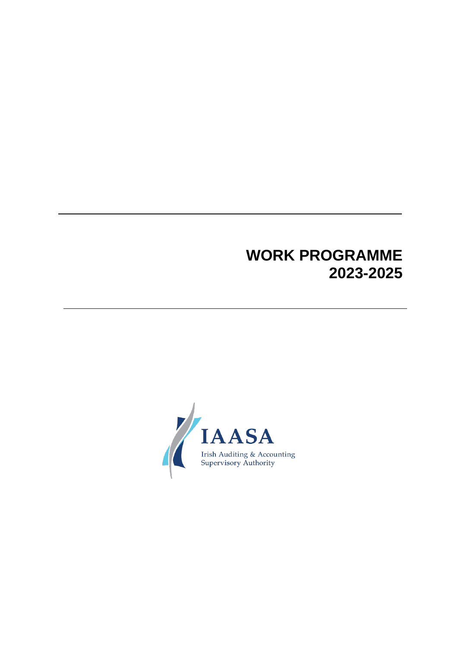# **WORK PROGRAMME 2023-2025**

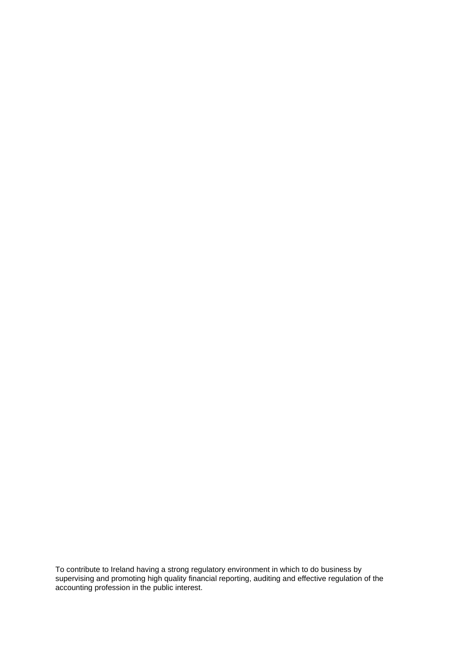To contribute to Ireland having a strong regulatory environment in which to do business by supervising and promoting high quality financial reporting, auditing and effective regulation of the accounting profession in the public interest.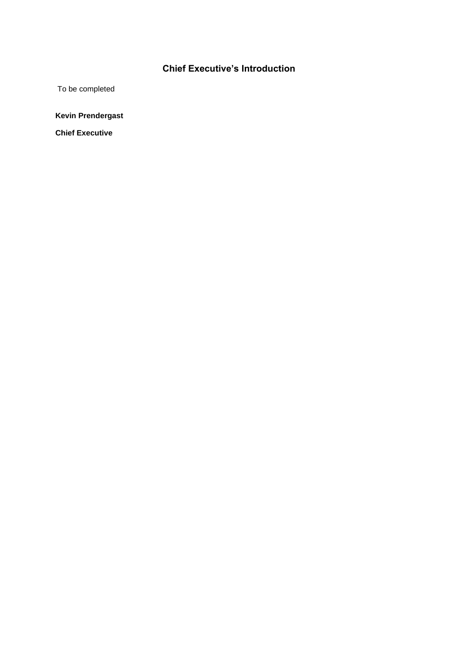# **Chief Executive's Introduction**

To be completed

**Kevin Prendergast** 

**Chief Executive**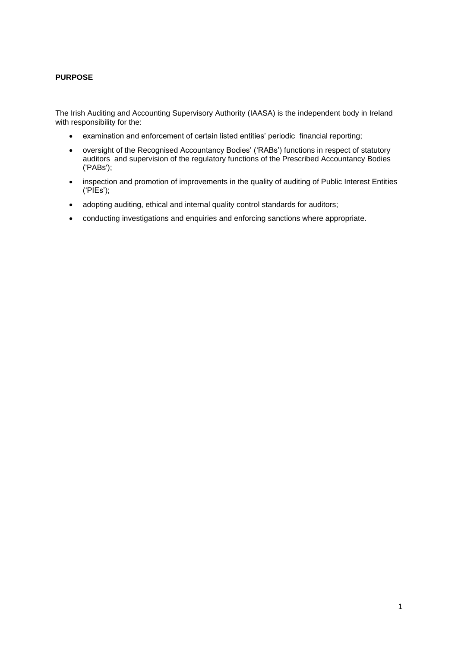# **PURPOSE**

The Irish Auditing and Accounting Supervisory Authority (IAASA) is the independent body in Ireland with responsibility for the:

- examination and enforcement of certain listed entities' periodic financial reporting;
- oversight of the Recognised Accountancy Bodies' ('RABs') functions in respect of statutory auditors and supervision of the regulatory functions of the Prescribed Accountancy Bodies ('PABs');
- inspection and promotion of improvements in the quality of auditing of Public Interest Entities ('PIEs');
- adopting auditing, ethical and internal quality control standards for auditors;
- conducting investigations and enquiries and enforcing sanctions where appropriate.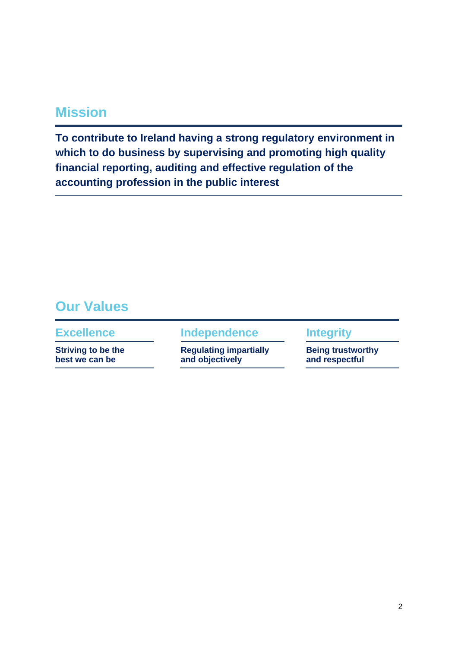# **Mission**

**To contribute to Ireland having a strong regulatory environment in which to do business by supervising and promoting high quality financial reporting, auditing and effective regulation of the accounting profession in the public interest**

# **Our Values**

**Striving to be the best we can be**

**Excellence Independence Integrity**

**Regulating impartially and objectively**

**Being trustworthy and respectful**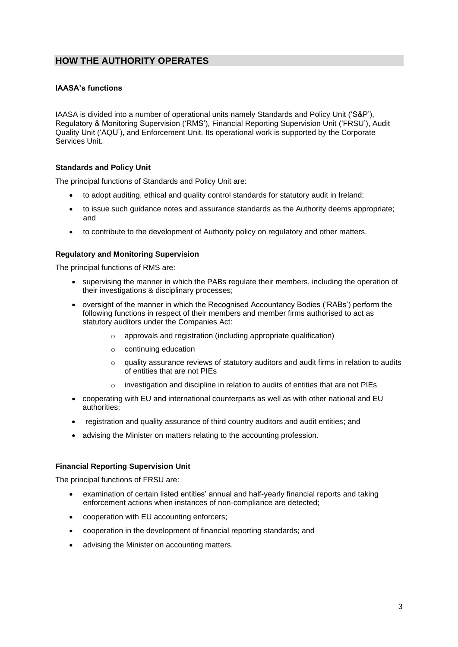# **HOW THE AUTHORITY OPERATES**

# **IAASA's functions**

IAASA is divided into a number of operational units namely Standards and Policy Unit ('S&P'), Regulatory & Monitoring Supervision ('RMS'), Financial Reporting Supervision Unit ('FRSU'), Audit Quality Unit ('AQU'), and Enforcement Unit. Its operational work is supported by the Corporate Services Unit.

# **Standards and Policy Unit**

The principal functions of Standards and Policy Unit are:

- to adopt auditing, ethical and quality control standards for statutory audit in Ireland;
- to issue such guidance notes and assurance standards as the Authority deems appropriate; and
- to contribute to the development of Authority policy on regulatory and other matters.

# **Regulatory and Monitoring Supervision**

The principal functions of RMS are:

- supervising the manner in which the PABs regulate their members, including the operation of their investigations & disciplinary processes;
- oversight of the manner in which the Recognised Accountancy Bodies ('RABs') perform the following functions in respect of their members and member firms authorised to act as statutory auditors under the Companies Act:
	- $\circ$  approvals and registration (including appropriate qualification)
	- o continuing education
	- $\circ$  quality assurance reviews of statutory auditors and audit firms in relation to audits of entities that are not PIEs
	- o investigation and discipline in relation to audits of entities that are not PIEs
- cooperating with EU and international counterparts as well as with other national and EU authorities;
- registration and quality assurance of third country auditors and audit entities; and
- advising the Minister on matters relating to the accounting profession.

# **Financial Reporting Supervision Unit**

The principal functions of FRSU are:

- examination of certain listed entities' annual and half-yearly financial reports and taking enforcement actions when instances of non-compliance are detected;
- cooperation with EU accounting enforcers;
- cooperation in the development of financial reporting standards; and
- advising the Minister on accounting matters.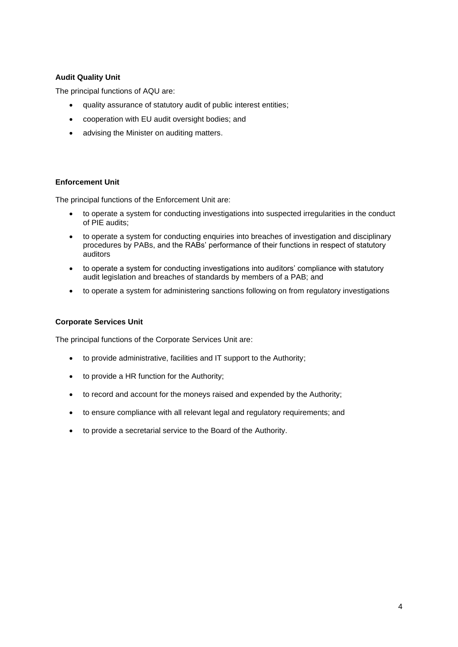# **Audit Quality Unit**

The principal functions of AQU are:

- quality assurance of statutory audit of public interest entities;
- cooperation with EU audit oversight bodies; and
- advising the Minister on auditing matters.

# **Enforcement Unit**

The principal functions of the Enforcement Unit are:

- to operate a system for conducting investigations into suspected irregularities in the conduct of PIE audits;
- to operate a system for conducting enquiries into breaches of investigation and disciplinary procedures by PABs, and the RABs' performance of their functions in respect of statutory auditors
- to operate a system for conducting investigations into auditors' compliance with statutory audit legislation and breaches of standards by members of a PAB; and
- to operate a system for administering sanctions following on from regulatory investigations

# **Corporate Services Unit**

The principal functions of the Corporate Services Unit are:

- to provide administrative, facilities and IT support to the Authority;
- to provide a HR function for the Authority;
- to record and account for the moneys raised and expended by the Authority;
- to ensure compliance with all relevant legal and regulatory requirements; and
- to provide a secretarial service to the Board of the Authority.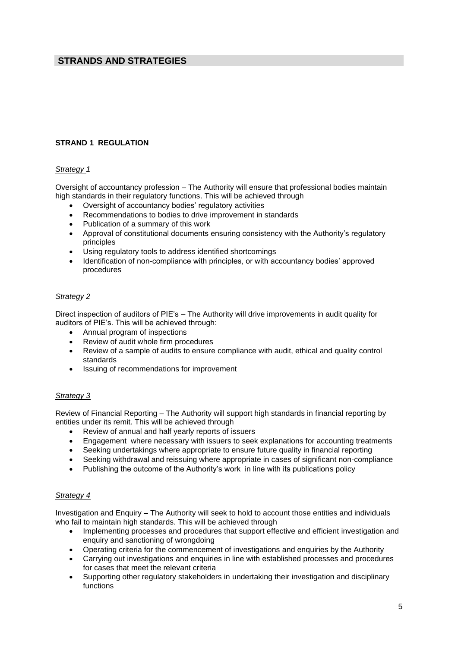# **STRANDS AND STRATEGIES**

# **STRAND 1 REGULATION**

# *Strategy 1*

Oversight of accountancy profession – The Authority will ensure that professional bodies maintain high standards in their regulatory functions. This will be achieved through

- Oversight of accountancy bodies' regulatory activities
- Recommendations to bodies to drive improvement in standards
- Publication of a summary of this work
- Approval of constitutional documents ensuring consistency with the Authority's regulatory principles
- Using regulatory tools to address identified shortcomings
- Identification of non-compliance with principles, or with accountancy bodies' approved procedures

#### *Strategy 2*

Direct inspection of auditors of PIE's – The Authority will drive improvements in audit quality for auditors of PIE's. This will be achieved through:

- Annual program of inspections
- Review of audit whole firm procedures
- Review of a sample of audits to ensure compliance with audit, ethical and quality control standards
- Issuing of recommendations for improvement

# *Strategy 3*

Review of Financial Reporting – The Authority will support high standards in financial reporting by entities under its remit. This will be achieved through

- Review of annual and half yearly reports of issuers
- Engagement where necessary with issuers to seek explanations for accounting treatments
- Seeking undertakings where appropriate to ensure future quality in financial reporting
- Seeking withdrawal and reissuing where appropriate in cases of significant non-compliance
- Publishing the outcome of the Authority's work in line with its publications policy

#### *Strategy 4*

Investigation and Enquiry – The Authority will seek to hold to account those entities and individuals who fail to maintain high standards. This will be achieved through

- Implementing processes and procedures that support effective and efficient investigation and enquiry and sanctioning of wrongdoing
- Operating criteria for the commencement of investigations and enquiries by the Authority
- Carrying out investigations and enquiries in line with established processes and procedures for cases that meet the relevant criteria
- Supporting other regulatory stakeholders in undertaking their investigation and disciplinary functions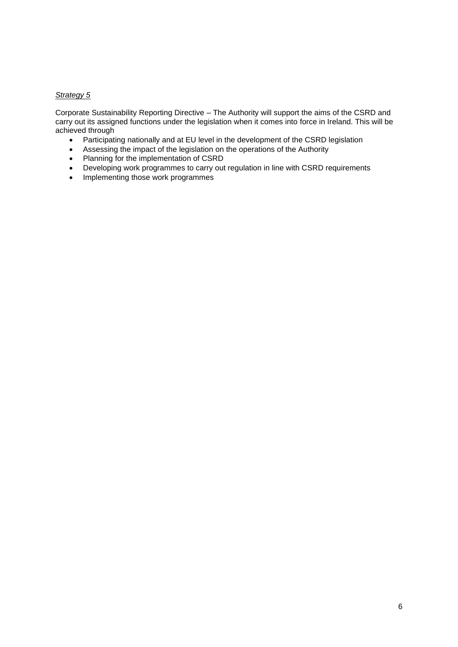# *Strategy 5*

Corporate Sustainability Reporting Directive – The Authority will support the aims of the CSRD and carry out its assigned functions under the legislation when it comes into force in Ireland. This will be achieved through

- Participating nationally and at EU level in the development of the CSRD legislation
- Assessing the impact of the legislation on the operations of the Authority
- Planning for the implementation of CSRD
- Developing work programmes to carry out regulation in line with CSRD requirements
- Implementing those work programmes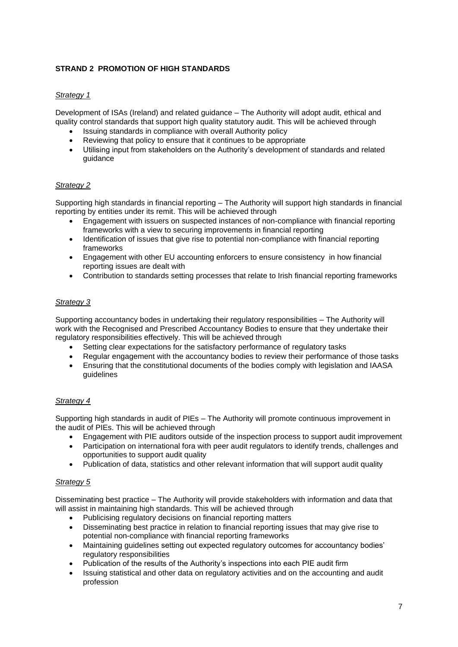# **STRAND 2 PROMOTION OF HIGH STANDARDS**

# *Strategy 1*

Development of ISAs (Ireland) and related guidance – The Authority will adopt audit, ethical and quality control standards that support high quality statutory audit. This will be achieved through

- Issuing standards in compliance with overall Authority policy
- Reviewing that policy to ensure that it continues to be appropriate
- Utilising input from stakeholders on the Authority's development of standards and related guidance

# *Strategy 2*

Supporting high standards in financial reporting – The Authority will support high standards in financial reporting by entities under its remit. This will be achieved through

- Engagement with issuers on suspected instances of non-compliance with financial reporting frameworks with a view to securing improvements in financial reporting
- Identification of issues that give rise to potential non-compliance with financial reporting frameworks
- Engagement with other EU accounting enforcers to ensure consistency in how financial reporting issues are dealt with
- Contribution to standards setting processes that relate to Irish financial reporting frameworks

# *Strategy 3*

Supporting accountancy bodes in undertaking their regulatory responsibilities – The Authority will work with the Recognised and Prescribed Accountancy Bodies to ensure that they undertake their regulatory responsibilities effectively. This will be achieved through

- Setting clear expectations for the satisfactory performance of regulatory tasks
- Regular engagement with the accountancy bodies to review their performance of those tasks
- Ensuring that the constitutional documents of the bodies comply with legislation and IAASA guidelines

# *Strategy 4*

Supporting high standards in audit of PIEs – The Authority will promote continuous improvement in the audit of PIEs. This will be achieved through

- Engagement with PIE auditors outside of the inspection process to support audit improvement
- Participation on international fora with peer audit regulators to identify trends, challenges and opportunities to support audit quality
- Publication of data, statistics and other relevant information that will support audit quality

# *Strategy 5*

Disseminating best practice – The Authority will provide stakeholders with information and data that will assist in maintaining high standards. This will be achieved through

- Publicising regulatory decisions on financial reporting matters
- Disseminating best practice in relation to financial reporting issues that may give rise to potential non-compliance with financial reporting frameworks
- Maintaining guidelines setting out expected regulatory outcomes for accountancy bodies' regulatory responsibilities
- Publication of the results of the Authority's inspections into each PIE audit firm
- Issuing statistical and other data on regulatory activities and on the accounting and audit profession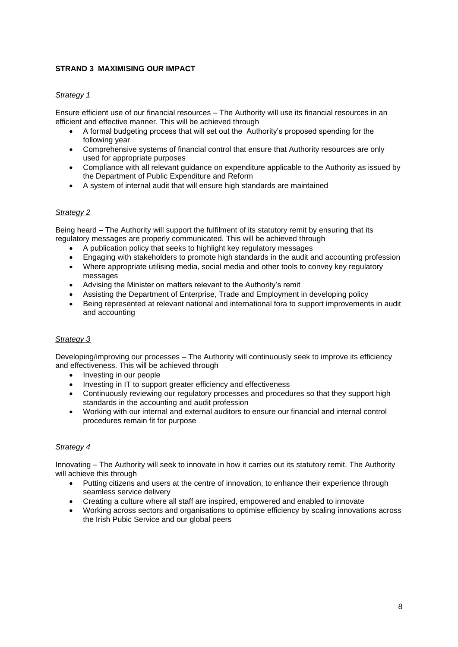# **STRAND 3 MAXIMISING OUR IMPACT**

# *Strategy 1*

Ensure efficient use of our financial resources – The Authority will use its financial resources in an efficient and effective manner. This will be achieved through

- A formal budgeting process that will set out the Authority's proposed spending for the following year
- Comprehensive systems of financial control that ensure that Authority resources are only used for appropriate purposes
- Compliance with all relevant guidance on expenditure applicable to the Authority as issued by the Department of Public Expenditure and Reform
- A system of internal audit that will ensure high standards are maintained

# *Strategy 2*

Being heard – The Authority will support the fulfilment of its statutory remit by ensuring that its regulatory messages are properly communicated. This will be achieved through

- A publication policy that seeks to highlight key regulatory messages
- Engaging with stakeholders to promote high standards in the audit and accounting profession
- Where appropriate utilising media, social media and other tools to convey key regulatory messages
- Advising the Minister on matters relevant to the Authority's remit
- Assisting the Department of Enterprise, Trade and Employment in developing policy
- Being represented at relevant national and international fora to support improvements in audit and accounting

# *Strategy 3*

Developing/improving our processes – The Authority will continuously seek to improve its efficiency and effectiveness. This will be achieved through

- Investing in our people
- Investing in IT to support greater efficiency and effectiveness
- Continuously reviewing our regulatory processes and procedures so that they support high standards in the accounting and audit profession
- Working with our internal and external auditors to ensure our financial and internal control procedures remain fit for purpose

# *Strategy 4*

Innovating – The Authority will seek to innovate in how it carries out its statutory remit. The Authority will achieve this through

- Putting citizens and users at the centre of innovation, to enhance their experience through seamless service delivery
- Creating a culture where all staff are inspired, empowered and enabled to innovate
- Working across sectors and organisations to optimise efficiency by scaling innovations across the Irish Pubic Service and our global peers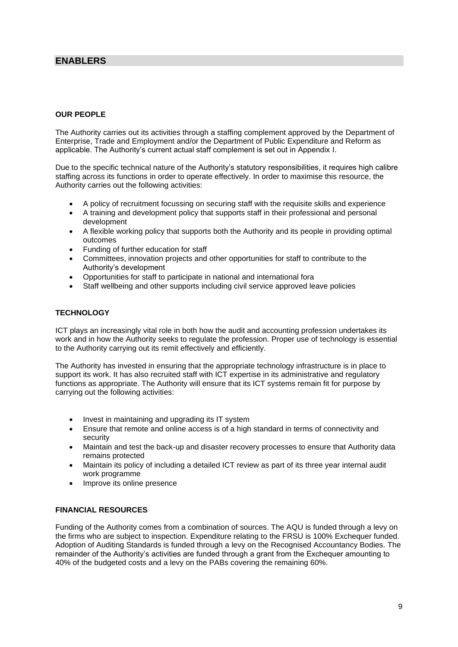# **ENABLERS**

# **OUR PEOPLE**

The Authority carries out its activities through a staffing complement approved by the Department of Enterprise, Trade and Employment and/or the Department of Public Expenditure and Reform as applicable. The Authority's current actual staff complement is set out in Appendix I.

Due to the specific technical nature of the Authority's statutory responsibilities, it requires high calibre staffing across its functions in order to operate effectively. In order to maximise this resource, the Authority carries out the following activities:

- A policy of recruitment focussing on securing staff with the requisite skills and experience
- A training and development policy that supports staff in their professional and personal development
- A flexible working policy that supports both the Authority and its people in providing optimal outcomes
- Funding of further education for staff
- Committees, innovation projects and other opportunities for staff to contribute to the Authority's development
- Opportunities for staff to participate in national and international fora
- Staff wellbeing and other supports including civil service approved leave policies

# **TECHNOLOGY**

ICT plays an increasingly vital role in both how the audit and accounting profession undertakes its work and in how the Authority seeks to regulate the profession. Proper use of technology is essential to the Authority carrying out its remit effectively and efficiently.

The Authority has invested in ensuring that the appropriate technology infrastructure is in place to support its work. It has also recruited staff with ICT expertise in its administrative and regulatory functions as appropriate. The Authority will ensure that its ICT systems remain fit for purpose by carrying out the following activities:

- Invest in maintaining and upgrading its IT system
- Ensure that remote and online access is of a high standard in terms of connectivity and security
- Maintain and test the back-up and disaster recovery processes to ensure that Authority data remains protected
- Maintain its policy of including a detailed ICT review as part of its three year internal audit work programme
- Improve its online presence

# **FINANCIAL RESOURCES**

Funding of the Authority comes from a combination of sources. The AQU is funded through a levy on the firms who are subject to inspection. Expenditure relating to the FRSU is 100% Exchequer funded. Adoption of Auditing Standards is funded through a levy on the Recognised Accountancy Bodies. The remainder of the Authority's activities are funded through a grant from the Exchequer amounting to 40% of the budgeted costs and a levy on the PABs covering the remaining 60%.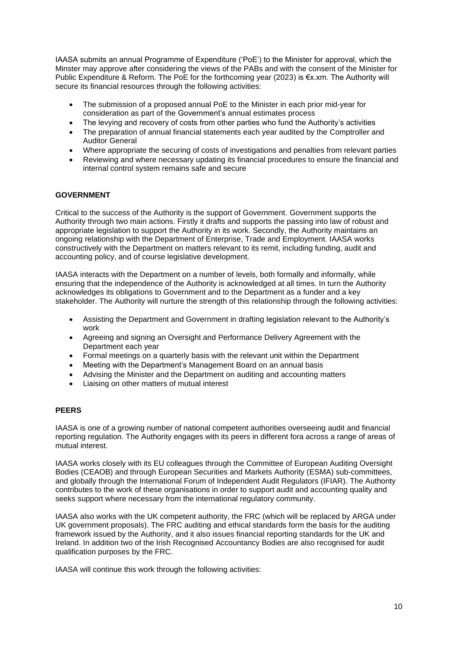IAASA submits an annual Programme of Expenditure ('PoE') to the Minister for approval, which the Minster may approve after considering the views of the PABs and with the consent of the Minister for Public Expenditure & Reform. The PoE for the forthcoming year (2023) is €x.xm. The Authority will secure its financial resources through the following activities:

- The submission of a proposed annual PoE to the Minister in each prior mid-year for consideration as part of the Government's annual estimates process
- The levying and recovery of costs from other parties who fund the Authority's activities
- The preparation of annual financial statements each year audited by the Comptroller and Auditor General
- Where appropriate the securing of costs of investigations and penalties from relevant parties
- Reviewing and where necessary updating its financial procedures to ensure the financial and internal control system remains safe and secure

# **GOVERNMENT**

Critical to the success of the Authority is the support of Government. Government supports the Authority through two main actions. Firstly it drafts and supports the passing into law of robust and appropriate legislation to support the Authority in its work. Secondly, the Authority maintains an ongoing relationship with the Department of Enterprise, Trade and Employment. IAASA works constructively with the Department on matters relevant to its remit, including funding, audit and accounting policy, and of course legislative development.

IAASA interacts with the Department on a number of levels, both formally and informally, while ensuring that the independence of the Authority is acknowledged at all times. In turn the Authority acknowledges its obligations to Government and to the Department as a funder and a key stakeholder. The Authority will nurture the strength of this relationship through the following activities:

- Assisting the Department and Government in drafting legislation relevant to the Authority's work
- Agreeing and signing an Oversight and Performance Delivery Agreement with the Department each year
- Formal meetings on a quarterly basis with the relevant unit within the Department
- Meeting with the Department's Management Board on an annual basis
- Advising the Minister and the Department on auditing and accounting matters
- Liaising on other matters of mutual interest

# **PEERS**

IAASA is one of a growing number of national competent authorities overseeing audit and financial reporting regulation. The Authority engages with its peers in different fora across a range of areas of mutual interest.

IAASA works closely with its EU colleagues through the Committee of European Auditing Oversight Bodies (CEAOB) and through European Securities and Markets Authority (ESMA) sub-committees, and globally through the International Forum of Independent Audit Regulators (IFIAR). The Authority contributes to the work of these organisations in order to support audit and accounting quality and seeks support where necessary from the international regulatory community.

IAASA also works with the UK competent authority, the FRC (which will be replaced by ARGA under UK government proposals). The FRC auditing and ethical standards form the basis for the auditing framework issued by the Authority, and it also issues financial reporting standards for the UK and Ireland. In addition two of the Irish Recognised Accountancy Bodies are also recognised for audit qualification purposes by the FRC.

IAASA will continue this work through the following activities: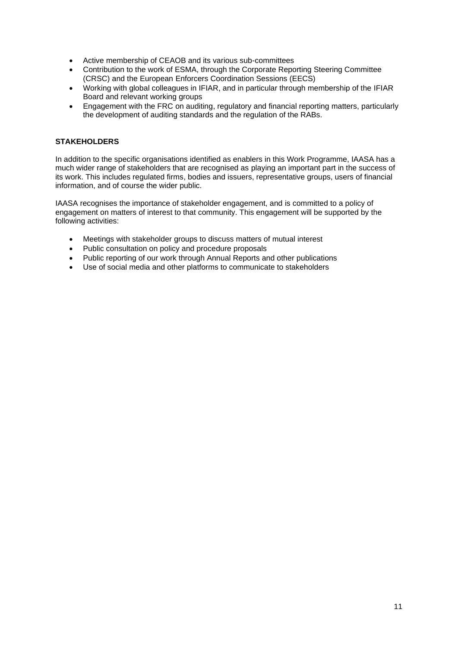- Active membership of CEAOB and its various sub-committees
- Contribution to the work of ESMA, through the Corporate Reporting Steering Committee (CRSC) and the European Enforcers Coordination Sessions (EECS)
- Working with global colleagues in IFIAR, and in particular through membership of the IFIAR Board and relevant working groups
- Engagement with the FRC on auditing, regulatory and financial reporting matters, particularly the development of auditing standards and the regulation of the RABs.

# **STAKEHOLDERS**

In addition to the specific organisations identified as enablers in this Work Programme, IAASA has a much wider range of stakeholders that are recognised as playing an important part in the success of its work. This includes regulated firms, bodies and issuers, representative groups, users of financial information, and of course the wider public.

IAASA recognises the importance of stakeholder engagement, and is committed to a policy of engagement on matters of interest to that community. This engagement will be supported by the following activities:

- Meetings with stakeholder groups to discuss matters of mutual interest
- Public consultation on policy and procedure proposals
- Public reporting of our work through Annual Reports and other publications
- Use of social media and other platforms to communicate to stakeholders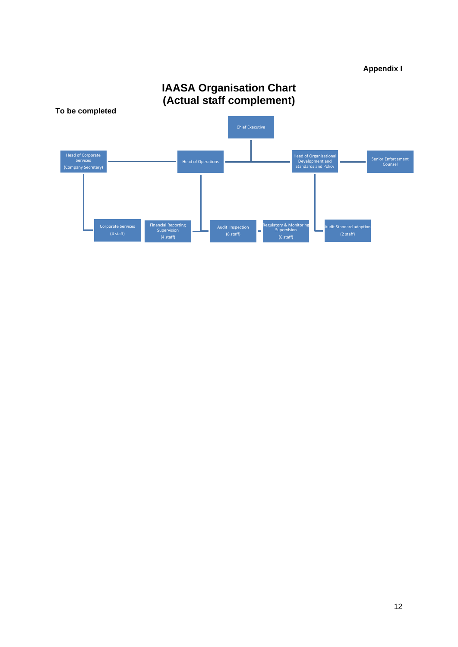# **Appendix I**



# **IAASA Organisation Chart**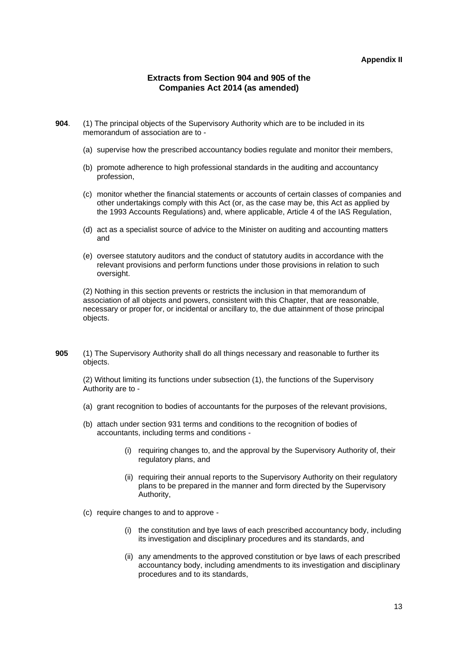#### **Appendix II**

#### **Extracts from Section 904 and 905 of the Companies Act 2014 (as amended)**

- **904**. (1) The principal objects of the Supervisory Authority which are to be included in its memorandum of association are to -
	- (a) supervise how the prescribed accountancy bodies regulate and monitor their members,
	- (b) promote adherence to high professional standards in the auditing and accountancy profession,
	- (c) monitor whether the financial statements or accounts of certain classes of companies and other undertakings comply with this Act (or, as the case may be, this Act as applied by the 1993 Accounts Regulations) and, where applicable, Article 4 of the IAS Regulation,
	- (d) act as a specialist source of advice to the Minister on auditing and accounting matters and
	- (e) oversee statutory auditors and the conduct of statutory audits in accordance with the relevant provisions and perform functions under those provisions in relation to such oversight.

(2) Nothing in this section prevents or restricts the inclusion in that memorandum of association of all objects and powers, consistent with this Chapter, that are reasonable, necessary or proper for, or incidental or ancillary to, the due attainment of those principal objects.

**905** (1) The Supervisory Authority shall do all things necessary and reasonable to further its objects.

(2) Without limiting its functions under subsection (1), the functions of the Supervisory Authority are to -

- (a) grant recognition to bodies of accountants for the purposes of the relevant provisions,
- (b) attach under section 931 terms and conditions to the recognition of bodies of accountants, including terms and conditions -
	- (i) requiring changes to, and the approval by the Supervisory Authority of, their regulatory plans, and
	- (ii) requiring their annual reports to the Supervisory Authority on their regulatory plans to be prepared in the manner and form directed by the Supervisory Authority,
- (c) require changes to and to approve
	- (i) the constitution and bye laws of each prescribed accountancy body, including its investigation and disciplinary procedures and its standards, and
	- (ii) any amendments to the approved constitution or bye laws of each prescribed accountancy body, including amendments to its investigation and disciplinary procedures and to its standards,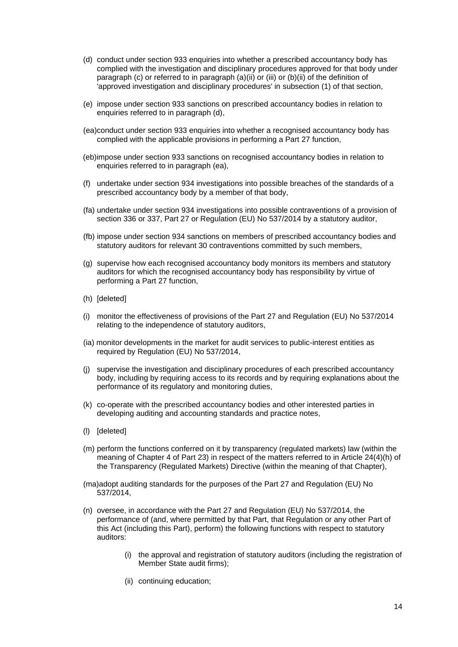- (d) conduct under section 933 enquiries into whether a prescribed accountancy body has complied with the investigation and disciplinary procedures approved for that body under paragraph (c) or referred to in paragraph (a)(ii) or (iii) or (b)(ii) of the definition of 'approved investigation and disciplinary procedures' in subsection (1) of that section,
- (e) impose under section 933 sanctions on prescribed accountancy bodies in relation to enquiries referred to in paragraph (d),
- (ea)conduct under section 933 enquiries into whether a recognised accountancy body has complied with the applicable provisions in performing a Part 27 function,
- (eb)impose under section 933 sanctions on recognised accountancy bodies in relation to enquiries referred to in paragraph (ea),
- (f) undertake under section 934 investigations into possible breaches of the standards of a prescribed accountancy body by a member of that body,
- (fa) undertake under section 934 investigations into possible contraventions of a provision of section 336 or 337, Part 27 or Regulation (EU) No 537/2014 by a statutory auditor,
- (fb) impose under section 934 sanctions on members of prescribed accountancy bodies and statutory auditors for relevant 30 contraventions committed by such members,
- (g) supervise how each recognised accountancy body monitors its members and statutory auditors for which the recognised accountancy body has responsibility by virtue of performing a Part 27 function,
- (h) [deleted]
- (i) monitor the effectiveness of provisions of the Part 27 and Regulation (EU) No 537/2014 relating to the independence of statutory auditors,
- (ia) monitor developments in the market for audit services to public-interest entities as required by Regulation (EU) No 537/2014,
- (j) supervise the investigation and disciplinary procedures of each prescribed accountancy body, including by requiring access to its records and by requiring explanations about the performance of its regulatory and monitoring duties,
- (k) co-operate with the prescribed accountancy bodies and other interested parties in developing auditing and accounting standards and practice notes,
- (l) [deleted]
- (m) perform the functions conferred on it by transparency (regulated markets) law (within the meaning of Chapter 4 of Part 23) in respect of the matters referred to in Article 24(4)(h) of the Transparency (Regulated Markets) Directive (within the meaning of that Chapter),
- (ma)adopt auditing standards for the purposes of the Part 27 and Regulation (EU) No 537/2014,
- (n) oversee, in accordance with the Part 27 and Regulation (EU) No 537/2014, the performance of (and, where permitted by that Part, that Regulation or any other Part of this Act (including this Part), perform) the following functions with respect to statutory auditors:
	- (i) the approval and registration of statutory auditors (including the registration of Member State audit firms);
	- (ii) continuing education;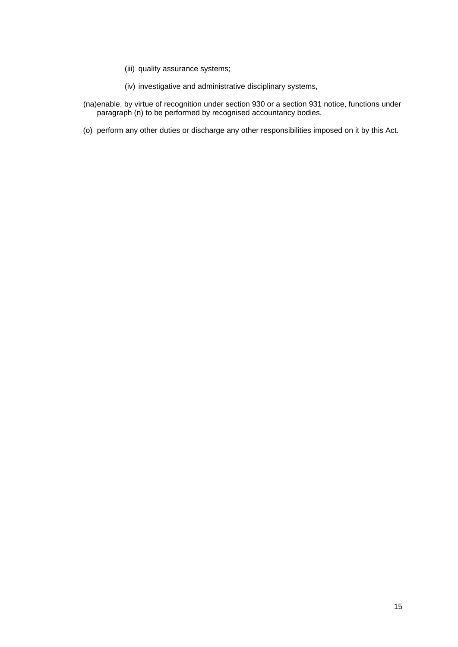- (iii) quality assurance systems;
- (iv) investigative and administrative disciplinary systems,
- (na)enable, by virtue of recognition under section 930 or a section 931 notice, functions under paragraph (n) to be performed by recognised accountancy bodies,
- (o) perform any other duties or discharge any other responsibilities imposed on it by this Act.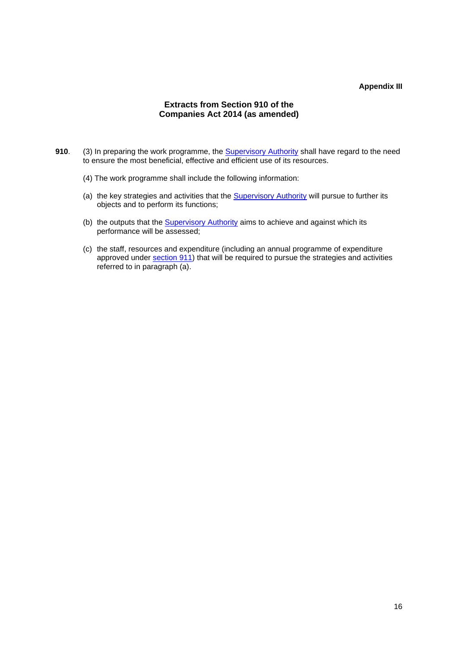#### **Appendix III**

# **Extracts from Section 910 of the Companies Act 2014 (as amended)**

- **910**. (3) In preparing the work programme, the [Supervisory Authority](defid:43665) shall have regard to the need to ensure the most beneficial, effective and efficient use of its resources.
	- (4) The work programme shall include the following information:
	- (a) the key strategies and activities that the **[Supervisory Authority](defid:43665) will pursue to further its** objects and to perform its functions;
	- (b) the outputs that the **[Supervisory Authority](defid:43665)** aims to achieve and against which its performance will be assessed;
	- (c) the staff, resources and expenditure (including an annual programme of expenditure approved under [section 911\)](https://service.betterregulation.com/document/177891) that will be required to pursue the strategies and activities referred to in paragraph (a).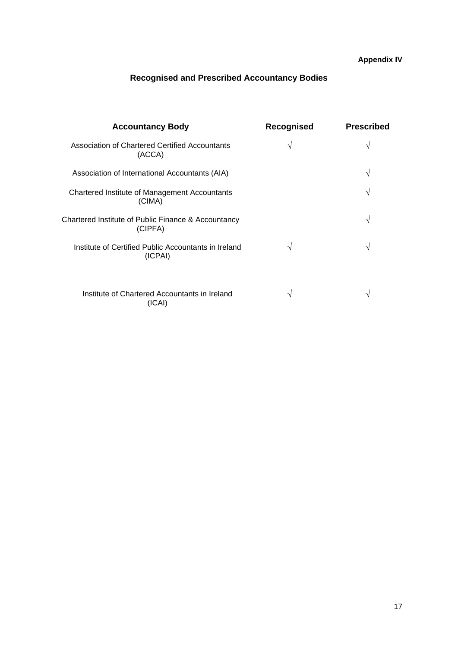# **Recognised and Prescribed Accountancy Bodies**

| <b>Accountancy Body</b>                                         | Recognised | <b>Prescribed</b> |
|-----------------------------------------------------------------|------------|-------------------|
| Association of Chartered Certified Accountants<br>(ACCA)        | V          | V                 |
| Association of International Accountants (AIA)                  |            | V                 |
| Chartered Institute of Management Accountants<br>(CIMA)         |            | $\mathcal{N}$     |
| Chartered Institute of Public Finance & Accountancy<br>(CIPFA)  |            | V                 |
| Institute of Certified Public Accountants in Ireland<br>(ICPAI) | N          | V                 |
| Institute of Chartered Accountants in Ireland<br>(ICAI)         | ٦          | $\mathbf{v}$      |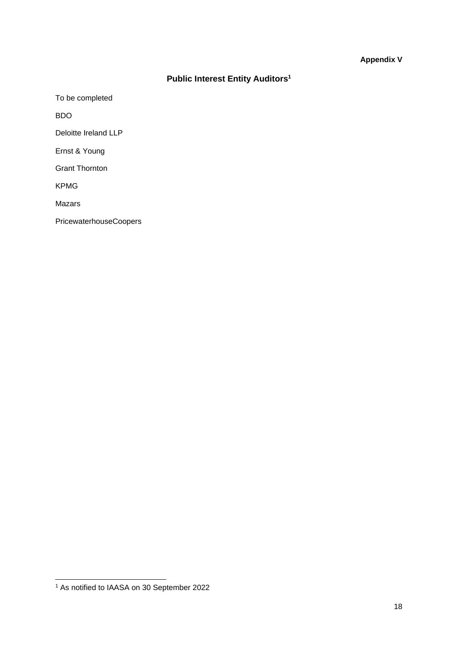# **Appendix V**

# **Public Interest Entity Auditors<sup>1</sup>**

To be completed

BDO

Deloitte Ireland LLP

Ernst & Young

Grant Thornton

KPMG

Mazars

PricewaterhouseCoopers

<sup>1</sup> As notified to IAASA on 30 September 2022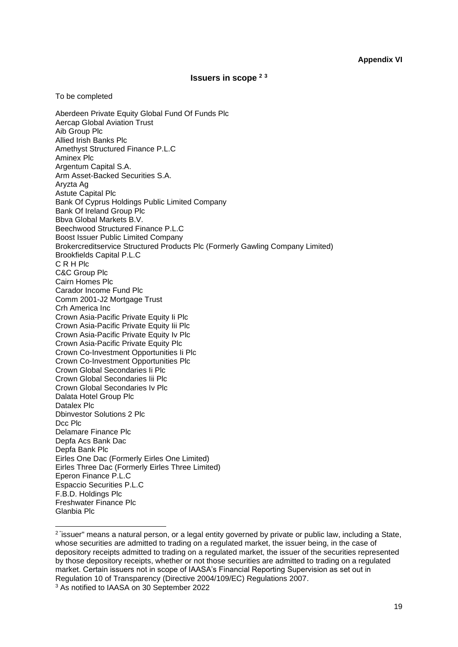# **Issuers in scope <sup>2</sup> <sup>3</sup>**

#### To be completed

Aberdeen Private Equity Global Fund Of Funds Plc Aercap Global Aviation Trust Aib Group Plc Allied Irish Banks Plc Amethyst Structured Finance P.L.C Aminex Plc Argentum Capital S.A. Arm Asset-Backed Securities S.A. Aryzta Ag Astute Capital Plc Bank Of Cyprus Holdings Public Limited Company Bank Of Ireland Group Plc Bbva Global Markets B.V. Beechwood Structured Finance P.L.C Boost Issuer Public Limited Company Brokercreditservice Structured Products Plc (Formerly Gawling Company Limited) Brookfields Capital P.L.C C R H Plc C&C Group Plc Cairn Homes Plc Carador Income Fund Plc Comm 2001-J2 Mortgage Trust Crh America Inc Crown Asia-Pacific Private Equity Ii Plc Crown Asia-Pacific Private Equity Iii Plc Crown Asia-Pacific Private Equity Iv Plc Crown Asia-Pacific Private Equity Plc Crown Co-Investment Opportunities Ii Plc Crown Co-Investment Opportunities Plc Crown Global Secondaries Ii Plc Crown Global Secondaries Iii Plc Crown Global Secondaries Iv Plc Dalata Hotel Group Plc Datalex Plc Dbinvestor Solutions 2 Plc Dcc Plc Delamare Finance Plc Depfa Acs Bank Dac Depfa Bank Plc Eirles One Dac (Formerly Eirles One Limited) Eirles Three Dac (Formerly Eirles Three Limited) Eperon Finance P.L.C Espaccio Securities P.L.C F.B.D. Holdings Plc Freshwater Finance Plc Glanbia Plc

<sup>2</sup> " issuer" means a natural person, or a legal entity governed by private or public law, including a State, whose securities are admitted to trading on a regulated market, the issuer being, in the case of depository receipts admitted to trading on a regulated market, the issuer of the securities represented by those depository receipts, whether or not those securities are admitted to trading on a regulated market. Certain issuers not in scope of IAASA's Financial Reporting Supervision as set out in Regulation 10 of Transparency (Directive 2004/109/EC) Regulations 2007.

<sup>3</sup> As notified to IAASA on 30 September 2022